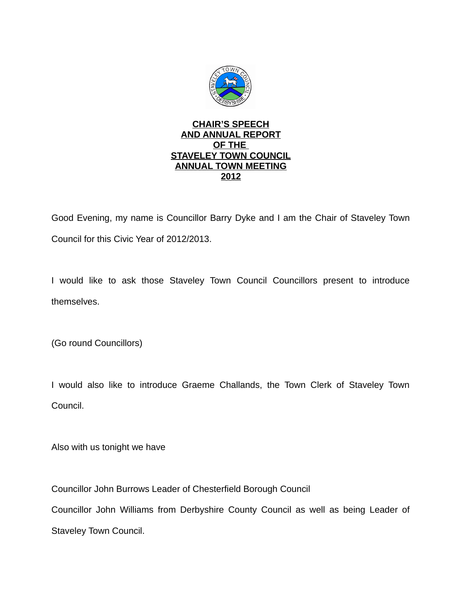

## **CHAIR'S SPEECH AND ANNUAL REPORT OF THE STAVELEY TOWN COUNCIL ANNUAL TOWN MEETING 2012**

Good Evening, my name is Councillor Barry Dyke and I am the Chair of Staveley Town Council for this Civic Year of 2012/2013.

I would like to ask those Staveley Town Council Councillors present to introduce themselves.

(Go round Councillors)

I would also like to introduce Graeme Challands, the Town Clerk of Staveley Town Council.

Also with us tonight we have

Councillor John Burrows Leader of Chesterfield Borough Council

Councillor John Williams from Derbyshire County Council as well as being Leader of Staveley Town Council.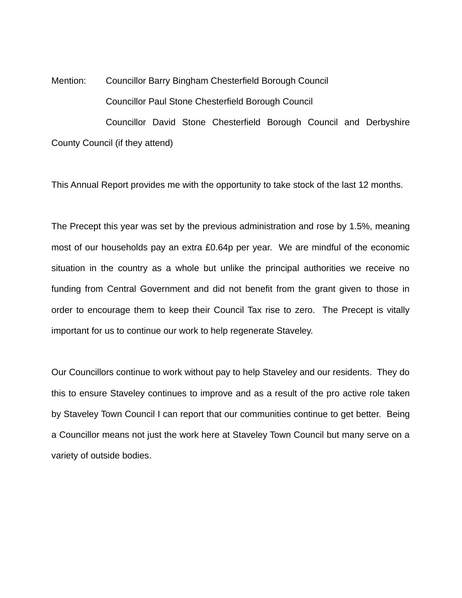Mention: Councillor Barry Bingham Chesterfield Borough Council Councillor Paul Stone Chesterfield Borough Council Councillor David Stone Chesterfield Borough Council and Derbyshire County Council (if they attend)

This Annual Report provides me with the opportunity to take stock of the last 12 months.

The Precept this year was set by the previous administration and rose by 1.5%, meaning most of our households pay an extra £0.64p per year. We are mindful of the economic situation in the country as a whole but unlike the principal authorities we receive no funding from Central Government and did not benefit from the grant given to those in order to encourage them to keep their Council Tax rise to zero. The Precept is vitally important for us to continue our work to help regenerate Staveley.

Our Councillors continue to work without pay to help Staveley and our residents. They do this to ensure Staveley continues to improve and as a result of the pro active role taken by Staveley Town Council I can report that our communities continue to get better. Being a Councillor means not just the work here at Staveley Town Council but many serve on a variety of outside bodies.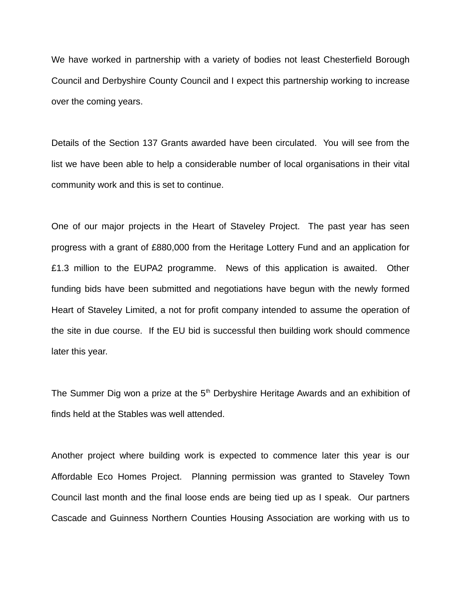We have worked in partnership with a variety of bodies not least Chesterfield Borough Council and Derbyshire County Council and I expect this partnership working to increase over the coming years.

Details of the Section 137 Grants awarded have been circulated. You will see from the list we have been able to help a considerable number of local organisations in their vital community work and this is set to continue.

One of our major projects in the Heart of Staveley Project. The past year has seen progress with a grant of £880,000 from the Heritage Lottery Fund and an application for £1.3 million to the EUPA2 programme. News of this application is awaited. Other funding bids have been submitted and negotiations have begun with the newly formed Heart of Staveley Limited, a not for profit company intended to assume the operation of the site in due course. If the EU bid is successful then building work should commence later this year.

The Summer Dig won a prize at the  $5<sup>th</sup>$  Derbyshire Heritage Awards and an exhibition of finds held at the Stables was well attended.

Another project where building work is expected to commence later this year is our Affordable Eco Homes Project. Planning permission was granted to Staveley Town Council last month and the final loose ends are being tied up as I speak. Our partners Cascade and Guinness Northern Counties Housing Association are working with us to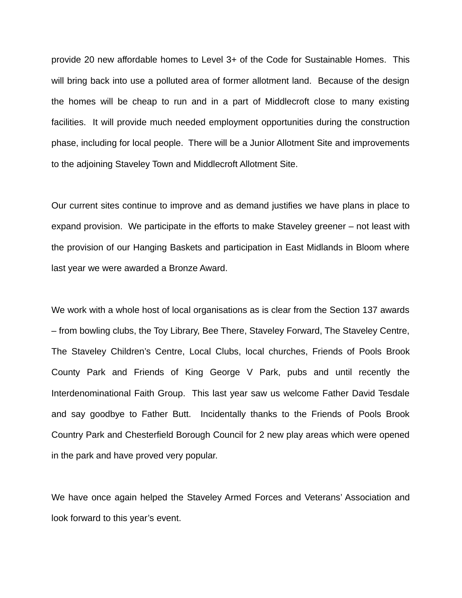provide 20 new affordable homes to Level 3+ of the Code for Sustainable Homes. This will bring back into use a polluted area of former allotment land. Because of the design the homes will be cheap to run and in a part of Middlecroft close to many existing facilities. It will provide much needed employment opportunities during the construction phase, including for local people. There will be a Junior Allotment Site and improvements to the adjoining Staveley Town and Middlecroft Allotment Site.

Our current sites continue to improve and as demand justifies we have plans in place to expand provision. We participate in the efforts to make Staveley greener – not least with the provision of our Hanging Baskets and participation in East Midlands in Bloom where last year we were awarded a Bronze Award.

We work with a whole host of local organisations as is clear from the Section 137 awards – from bowling clubs, the Toy Library, Bee There, Staveley Forward, The Staveley Centre, The Staveley Children's Centre, Local Clubs, local churches, Friends of Pools Brook County Park and Friends of King George V Park, pubs and until recently the Interdenominational Faith Group. This last year saw us welcome Father David Tesdale and say goodbye to Father Butt. Incidentally thanks to the Friends of Pools Brook Country Park and Chesterfield Borough Council for 2 new play areas which were opened in the park and have proved very popular.

We have once again helped the Staveley Armed Forces and Veterans' Association and look forward to this year's event.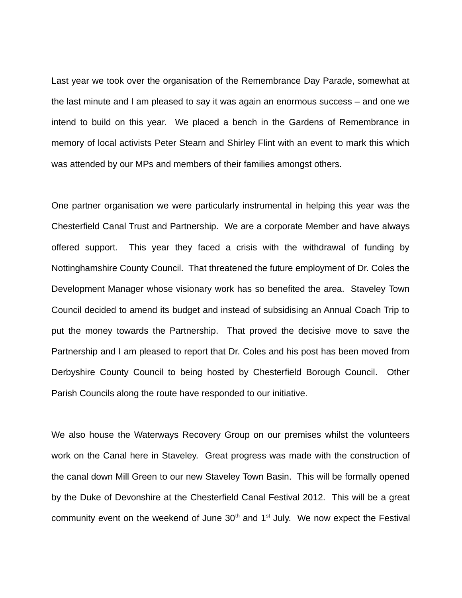Last year we took over the organisation of the Remembrance Day Parade, somewhat at the last minute and I am pleased to say it was again an enormous success – and one we intend to build on this year. We placed a bench in the Gardens of Remembrance in memory of local activists Peter Stearn and Shirley Flint with an event to mark this which was attended by our MPs and members of their families amongst others.

One partner organisation we were particularly instrumental in helping this year was the Chesterfield Canal Trust and Partnership. We are a corporate Member and have always offered support. This year they faced a crisis with the withdrawal of funding by Nottinghamshire County Council. That threatened the future employment of Dr. Coles the Development Manager whose visionary work has so benefited the area. Staveley Town Council decided to amend its budget and instead of subsidising an Annual Coach Trip to put the money towards the Partnership. That proved the decisive move to save the Partnership and I am pleased to report that Dr. Coles and his post has been moved from Derbyshire County Council to being hosted by Chesterfield Borough Council. Other Parish Councils along the route have responded to our initiative.

We also house the Waterways Recovery Group on our premises whilst the volunteers work on the Canal here in Staveley. Great progress was made with the construction of the canal down Mill Green to our new Staveley Town Basin. This will be formally opened by the Duke of Devonshire at the Chesterfield Canal Festival 2012. This will be a great community event on the weekend of June  $30<sup>th</sup>$  and  $1<sup>st</sup>$  July. We now expect the Festival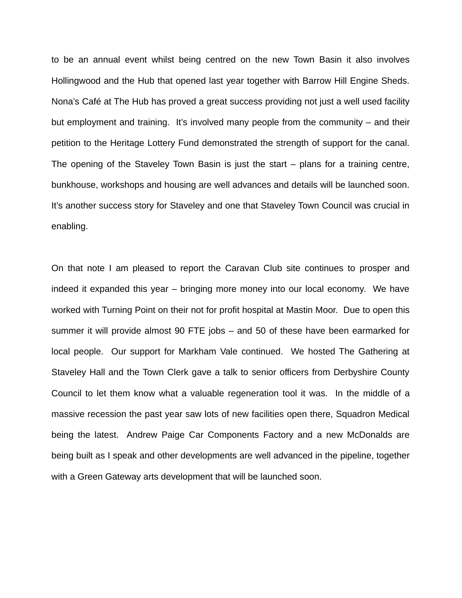to be an annual event whilst being centred on the new Town Basin it also involves Hollingwood and the Hub that opened last year together with Barrow Hill Engine Sheds. Nona's Café at The Hub has proved a great success providing not just a well used facility but employment and training. It's involved many people from the community – and their petition to the Heritage Lottery Fund demonstrated the strength of support for the canal. The opening of the Staveley Town Basin is just the start – plans for a training centre, bunkhouse, workshops and housing are well advances and details will be launched soon. It's another success story for Staveley and one that Staveley Town Council was crucial in enabling.

On that note I am pleased to report the Caravan Club site continues to prosper and indeed it expanded this year – bringing more money into our local economy. We have worked with Turning Point on their not for profit hospital at Mastin Moor. Due to open this summer it will provide almost 90 FTE jobs – and 50 of these have been earmarked for local people. Our support for Markham Vale continued. We hosted The Gathering at Staveley Hall and the Town Clerk gave a talk to senior officers from Derbyshire County Council to let them know what a valuable regeneration tool it was. In the middle of a massive recession the past year saw lots of new facilities open there, Squadron Medical being the latest. Andrew Paige Car Components Factory and a new McDonalds are being built as I speak and other developments are well advanced in the pipeline, together with a Green Gateway arts development that will be launched soon.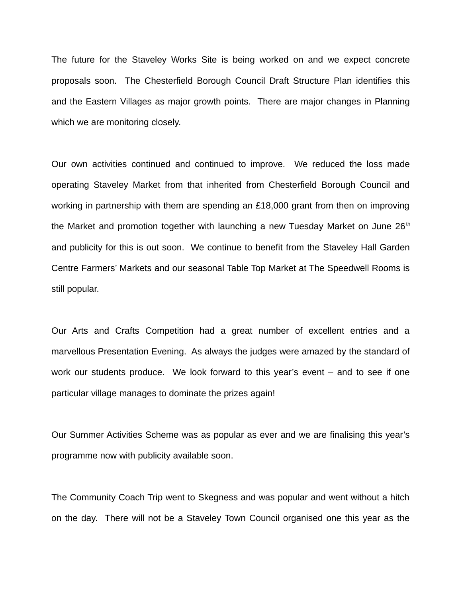The future for the Staveley Works Site is being worked on and we expect concrete proposals soon. The Chesterfield Borough Council Draft Structure Plan identifies this and the Eastern Villages as major growth points. There are major changes in Planning which we are monitoring closely.

Our own activities continued and continued to improve. We reduced the loss made operating Staveley Market from that inherited from Chesterfield Borough Council and working in partnership with them are spending an £18,000 grant from then on improving the Market and promotion together with launching a new Tuesday Market on June  $26<sup>th</sup>$ and publicity for this is out soon. We continue to benefit from the Staveley Hall Garden Centre Farmers' Markets and our seasonal Table Top Market at The Speedwell Rooms is still popular.

Our Arts and Crafts Competition had a great number of excellent entries and a marvellous Presentation Evening. As always the judges were amazed by the standard of work our students produce. We look forward to this year's event – and to see if one particular village manages to dominate the prizes again!

Our Summer Activities Scheme was as popular as ever and we are finalising this year's programme now with publicity available soon.

The Community Coach Trip went to Skegness and was popular and went without a hitch on the day. There will not be a Staveley Town Council organised one this year as the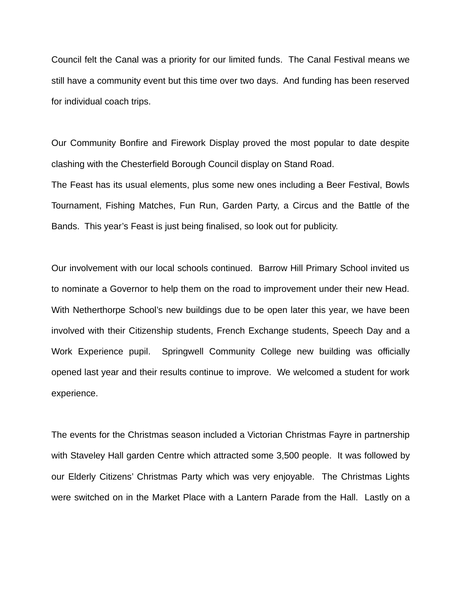Council felt the Canal was a priority for our limited funds. The Canal Festival means we still have a community event but this time over two days. And funding has been reserved for individual coach trips.

Our Community Bonfire and Firework Display proved the most popular to date despite clashing with the Chesterfield Borough Council display on Stand Road.

The Feast has its usual elements, plus some new ones including a Beer Festival, Bowls Tournament, Fishing Matches, Fun Run, Garden Party, a Circus and the Battle of the Bands. This year's Feast is just being finalised, so look out for publicity.

Our involvement with our local schools continued. Barrow Hill Primary School invited us to nominate a Governor to help them on the road to improvement under their new Head. With Netherthorpe School's new buildings due to be open later this year, we have been involved with their Citizenship students, French Exchange students, Speech Day and a Work Experience pupil. Springwell Community College new building was officially opened last year and their results continue to improve. We welcomed a student for work experience.

The events for the Christmas season included a Victorian Christmas Fayre in partnership with Staveley Hall garden Centre which attracted some 3,500 people. It was followed by our Elderly Citizens' Christmas Party which was very enjoyable. The Christmas Lights were switched on in the Market Place with a Lantern Parade from the Hall. Lastly on a